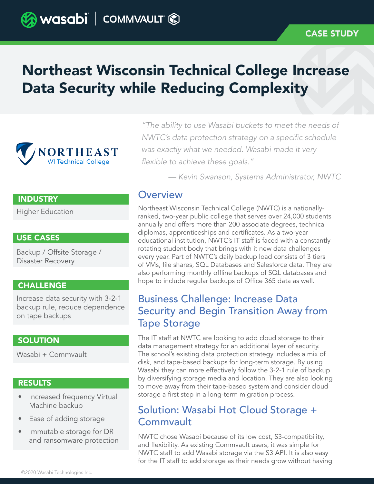# Northeast Wisconsin Technical College Increase Data Security while Reducing Complexity



*"The ability to use Wasabi buckets to meet the needs of*  NWTC's data protection strategy on a specific schedule *was exactly what we needed. Wasabi made it very*  flexible to achieve these goals."

*— Kevin Swanson, Systems Administrator, NWTC*

### **INDUSTRY**

Higher Education

### USE CASES

Backup / Offsite Storage / Disaster Recovery

#### **CHALLENGE**

Increase data security with 3-2-1 backup rule, reduce dependence on tape backups

### **SOLUTION**

Wasabi + Commvault

### **RESULTS**

- Increased frequency Virtual Machine backup
- Ease of adding storage
- Immutable storage for DR and ransomware protection

**Overview** 

Northeast Wisconsin Technical College (NWTC) is a nationallyranked, two-year public college that serves over 24,000 students annually and offers more than 200 associate degrees, technical diplomas, apprenticeships and certificates. As a two-year educational institution, NWTC's IT staff is faced with a constantly rotating student body that brings with it new data challenges every year. Part of NWTC's daily backup load consists of 3 tiers of VMs, file shares, SQL Databases and Salesforce data. They are also performing monthly offline backups of SQL databases and hope to include regular backups of Office 365 data as well.

# Business Challenge: Increase Data Security and Begin Transition Away from Tape Storage

The IT staff at NWTC are looking to add cloud storage to their data management strategy for an additional layer of security. The school's existing data protection strategy includes a mix of disk, and tape-based backups for long-term storage. By using Wasabi they can more effectively follow the 3-2-1 rule of backup by diversifying storage media and location. They are also looking to move away from their tape-based system and consider cloud storage a first step in a long-term migration process.

# Solution: Wasabi Hot Cloud Storage + Commvault

NWTC chose Wasabi because of its low cost, S3-compatibility, and flexibility. As existing Commvault users, it was simple for NWTC staff to add Wasabi storage via the S3 API. It is also easy for the IT staff to add storage as their needs grow without having